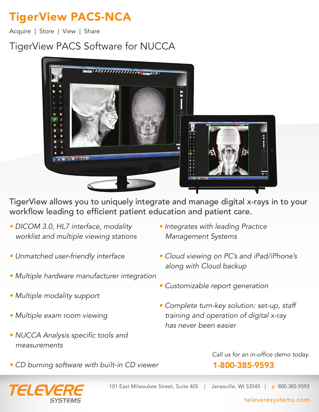# TigerView PACS-NCA

Acquire | Store | View | Share

# TigerView PACS Software for NUCCA



TigerView allows you to uniquely integrate and manage digital x-rays in to your workflow leading to efficient patient education and patient care.

- DICOM 3.0, HL7 interface, modality worklist and multiple viewing stations
- Unmatched user-friendly interface
- Multiple hardware manufacturer integration
- Multiple modality support
- Multiple exam room viewing
- NUCCA Analysis specific tools and measurements
- Integrates with leading Practice Management Systems
- Cloud viewing on PC's and iPad/iPhone's along with Cloud backup
- Customizable report generation
- Complete turn-key solution: set-up, staff training and operation of digital x-ray has never been easier
- CD burning software with built-in CD viewer



101 East Milwaukee Street, Suite 405 | Janesville, WI 53545 | p 800.385.9593

Call us for an in-office demo today.

1-800-385-9593